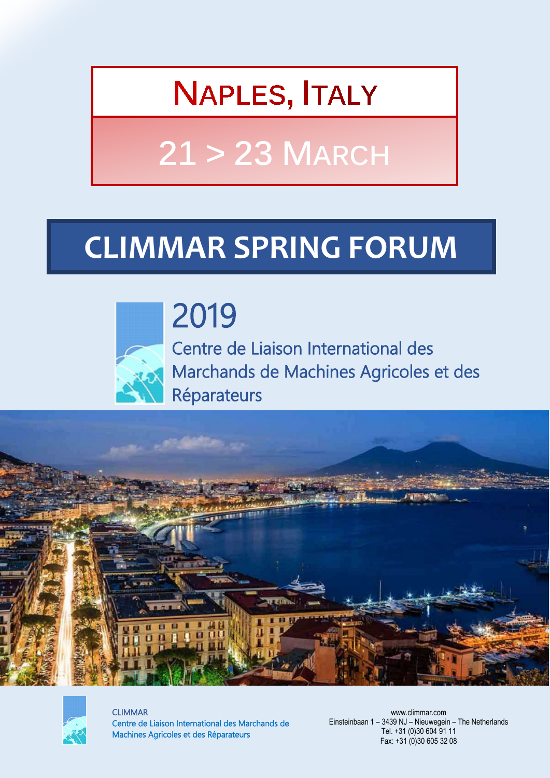## **NAPLES, ITALY**

# **21 > 23 MARCH**

## **CLIMMAR SPRING FORUM**



2019 Centre de Liaison International des Marchands de Machines Agricoles et des Réparateurs





CLIMMAR Centre de Liaison International des Marchands de Machines Agricoles et des Réparateurs

www.climmar.com Einsteinbaan 1 – 3439 NJ – Nieuwegein – The Netherlands Tel. +31 (0)30 604 91 11 Fax: +31 (0)30 605 32 08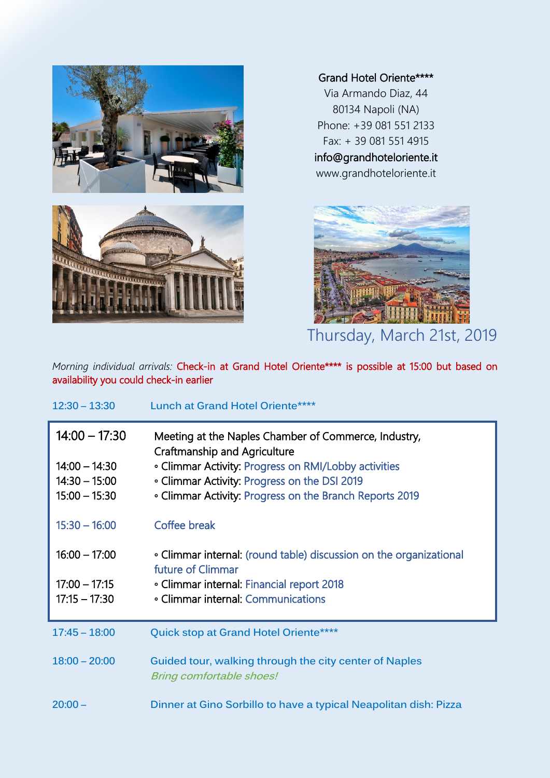

### Grand Hotel Oriente\*\*\*\*

Via Armando Diaz, 44 80134 Napoli (NA) Phone: +39 081 551 2133 Fax: + 39 081 551 4915 info@grandhoteloriente.it

www.grandhoteloriente.it



*Morning individual arrivals: Check-in at Grand Hotel Oriente\*\*\*\* is possible at 15:00 but based on* availability you could check-in earlier

| $12:30 - 13:30$ | <b>Lunch at Grand Hotel Oriente****</b>                                                     |
|-----------------|---------------------------------------------------------------------------------------------|
| $14:00 - 17:30$ | Meeting at the Naples Chamber of Commerce, Industry,<br><b>Craftmanship and Agriculture</b> |
| $14:00 - 14:30$ | • Climmar Activity: Progress on RMI/Lobby activities                                        |
| $14:30 - 15:00$ | • Climmar Activity: Progress on the DSI 2019                                                |
| $15:00 - 15:30$ | • Climmar Activity: Progress on the Branch Reports 2019                                     |
| $15:30 - 16:00$ | Coffee break                                                                                |
| $16:00 - 17:00$ | • Climmar internal: (round table) discussion on the organizational<br>future of Climmar     |
| $17:00 - 17:15$ | • Climmar internal: Financial report 2018                                                   |
| $17:15 - 17:30$ | • Climmar internal: Communications                                                          |
|                 |                                                                                             |
| $17:45 - 18:00$ | Quick stop at Grand Hotel Oriente****                                                       |
| $18:00 - 20:00$ | Guided tour, walking through the city center of Naples<br><b>Bring comfortable shoes!</b>   |
| $20:00 -$       | Dinner at Gino Sorbillo to have a typical Neapolitan dish: Pizza                            |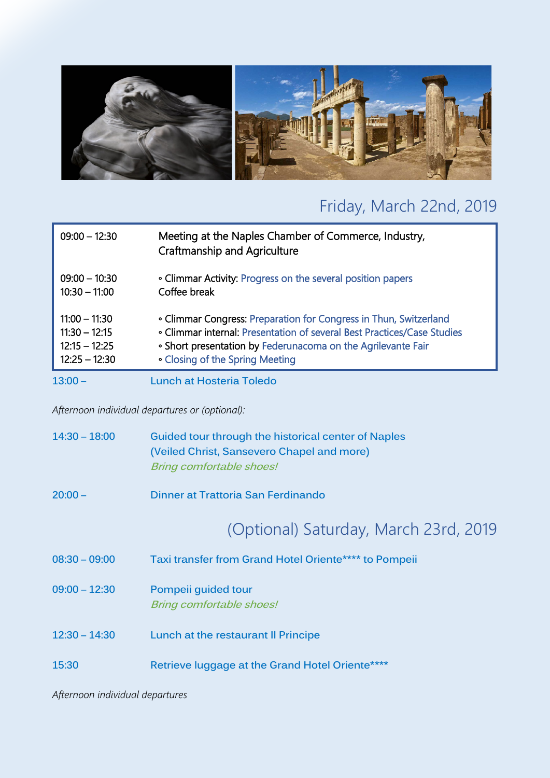

### Friday, March 22nd, 2019

| $09:00 - 12:30$ | Meeting at the Naples Chamber of Commerce, Industry,<br><b>Craftmanship and Agriculture</b> |
|-----------------|---------------------------------------------------------------------------------------------|
| $09:00 - 10:30$ | • Climmar Activity: Progress on the several position papers                                 |
| $10:30 - 11:00$ | Coffee break                                                                                |
| $11:00 - 11:30$ | • Climmar Congress: Preparation for Congress in Thun, Switzerland                           |
| $11:30 - 12:15$ | . Climmar internal: Presentation of several Best Practices/Case Studies                     |
| $12:15 - 12:25$ | . Short presentation by Federunacoma on the Agrilevante Fair                                |
| $12:25 - 12:30$ | • Closing of the Spring Meeting                                                             |
| $13:00 -$       | Lunch at Hosteria Toledo                                                                    |

*Afternoon individual departures or (optional):*

| $14:30 - 18:00$ | Guided tour through the historical center of Naples |
|-----------------|-----------------------------------------------------|
|                 | (Veiled Christ, Sansevero Chapel and more)          |
|                 | <b>Bring comfortable shoes!</b>                     |

**20:00 – Dinner at Trattoria San Ferdinando**

### (Optional) Saturday, March 23rd, 2019

- **08:30 – 09:00 Taxi transfer from Grand Hotel Oriente\*\*\*\* to Pompeii**
- **09:00 – 12:30 Pompeii guided tour Bring comfortable shoes!**
- **12:30 – 14:30 Lunch at the restaurant Il Principe**
- **15:30 Retrieve luggage at the Grand Hotel Oriente\*\*\*\***

*Afternoon individual departures*